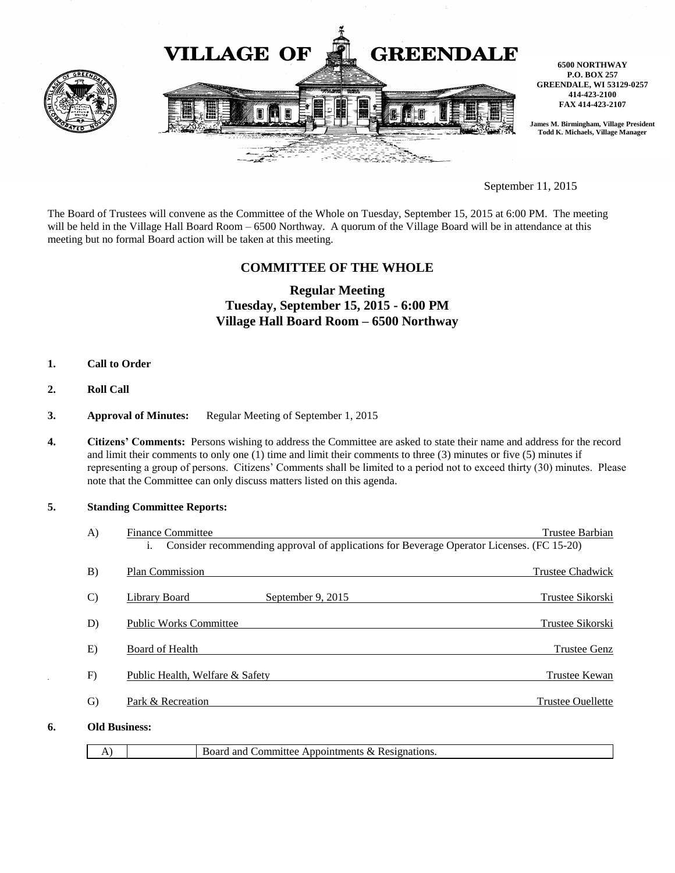

September 11, 2015

The Board of Trustees will convene as the Committee of the Whole on Tuesday, September 15, 2015 at 6:00 PM. The meeting will be held in the Village Hall Board Room – 6500 Northway. A quorum of the Village Board will be in attendance at this meeting but no formal Board action will be taken at this meeting.

# **COMMITTEE OF THE WHOLE**

# **Regular Meeting Tuesday, September 15, 2015 - 6:00 PM Village Hall Board Room – 6500 Northway**

- **1. Call to Order**
- **2. Roll Call**
- **3. Approval of Minutes:** Regular Meeting of September 1, 2015
- **4. Citizens' Comments:** Persons wishing to address the Committee are asked to state their name and address for the record and limit their comments to only one (1) time and limit their comments to three (3) minutes or five (5) minutes if representing a group of persons. Citizens' Comments shall be limited to a period not to exceed thirty (30) minutes. Please note that the Committee can only discuss matters listed on this agenda.

### **5. Standing Committee Reports:**

|    | A)            | <b>Finance Committee</b>                                                                        | Trustee Barbian          |  |
|----|---------------|-------------------------------------------------------------------------------------------------|--------------------------|--|
|    |               | Consider recommending approval of applications for Beverage Operator Licenses. (FC 15-20)<br>1. |                          |  |
|    | B)            | Plan Commission                                                                                 | <b>Trustee Chadwick</b>  |  |
|    | $\mathcal{C}$ | September 9, 2015<br>Library Board                                                              | Trustee Sikorski         |  |
|    | D)            | <b>Public Works Committee</b>                                                                   | Trustee Sikorski         |  |
|    | E)            | Board of Health                                                                                 | Trustee Genz             |  |
|    | F)            | Public Health, Welfare & Safety                                                                 | Trustee Kewan            |  |
|    | $\mathcal{G}$ | Park & Recreation                                                                               | <b>Trustee Ouellette</b> |  |
| 6. |               | <b>Old Business:</b>                                                                            |                          |  |

|  | Board and Committee Appointments & Resignations. |
|--|--------------------------------------------------|
|  |                                                  |